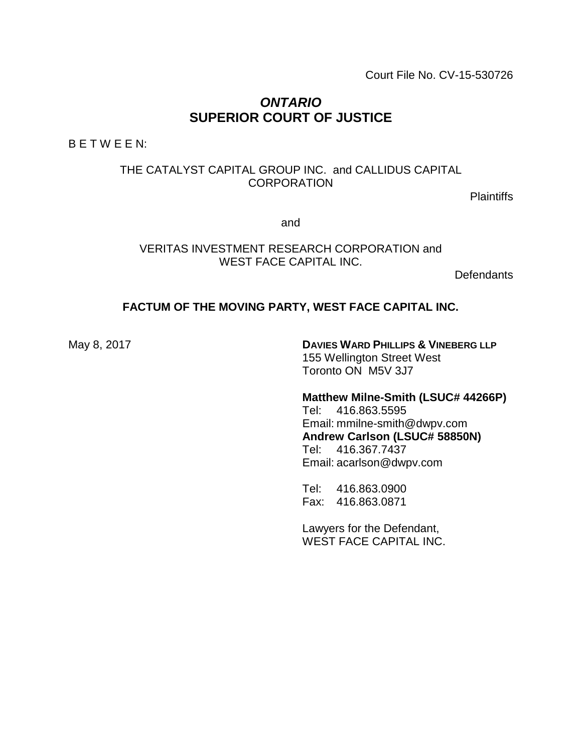Court File No. CV-15-530726

# *ONTARIO* **SUPERIOR COURT OF JUSTICE**

B E T W E E N:

# THE CATALYST CAPITAL GROUP INC. and CALLIDUS CAPITAL **CORPORATION**

Plaintiffs

and

VERITAS INVESTMENT RESEARCH CORPORATION and WEST FACE CAPITAL INC.

**Defendants** 

#### **FACTUM OF THE MOVING PARTY, WEST FACE CAPITAL INC.**

May 8, 2017 **DAVIES WARD PHILLIPS & VINEBERG LLP** 155 Wellington Street West Toronto ON M5V 3J7

#### **Matthew Milne-Smith (LSUC# 44266P)**

Tel: 416.863.5595 Email: mmilne-smith@dwpv.com **Andrew Carlson (LSUC# 58850N)** Tel: 416.367.7437 Email: acarlson@dwpv.com

Tel: 416.863.0900 Fax: 416.863.0871

Lawyers for the Defendant, WEST FACE CAPITAL INC.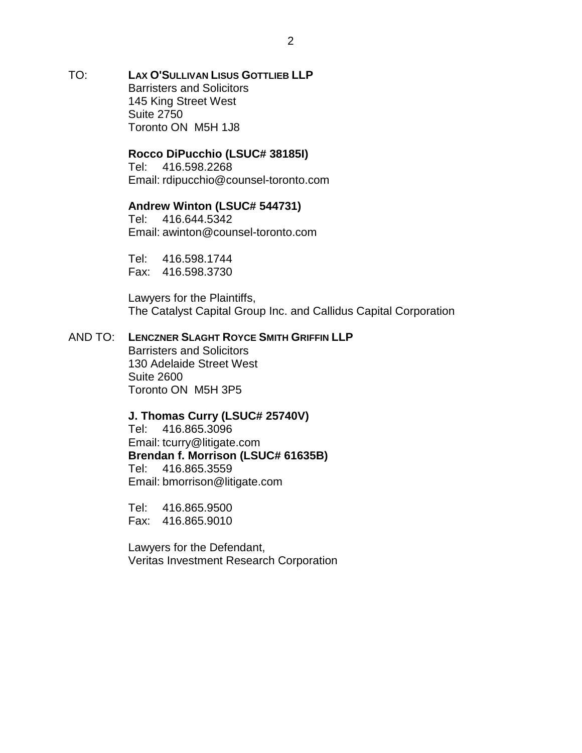TO: **LAX O'SULLIVAN LISUS GOTTLIEB LLP** Barristers and Solicitors 145 King Street West Suite 2750 Toronto ON M5H 1J8

#### **Rocco DiPucchio (LSUC# 38185I)**

Tel: 416.598.2268 Email: rdipucchio@counsel-toronto.com

# **Andrew Winton (LSUC# 544731)**

Tel: 416.644.5342 Email: awinton@counsel-toronto.com

Tel: 416.598.1744 Fax: 416.598.3730

Lawyers for the Plaintiffs, The Catalyst Capital Group Inc. and Callidus Capital Corporation

#### AND TO: **LENCZNER SLAGHT ROYCE SMITH GRIFFIN LLP**

Barristers and Solicitors 130 Adelaide Street West Suite 2600 Toronto ON M5H 3P5

#### **J. Thomas Curry (LSUC# 25740V)**

Tel: 416.865.3096 Email: tcurry@litigate.com **Brendan f. Morrison (LSUC# 61635B)** Tel: 416.865.3559 Email: bmorrison@litigate.com

Tel: 416.865.9500 Fax: 416.865.9010

Lawyers for the Defendant, Veritas Investment Research Corporation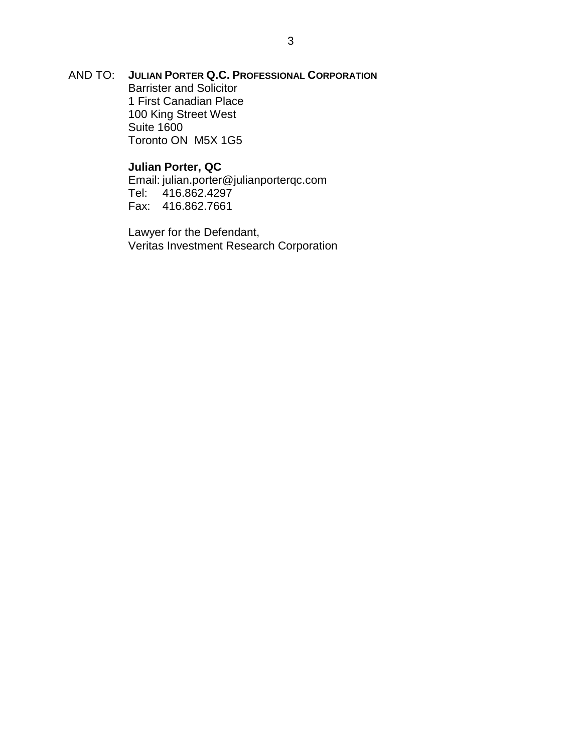AND TO: **JULIAN PORTER Q.C. PROFESSIONAL CORPORATION** Barrister and Solicitor 1 First Canadian Place 100 King Street West Suite 1600 Toronto ON M5X 1G5

#### **Julian Porter, QC**

Email: julian.porter@julianporterqc.com 416.862.4297 Fax: 416.862.7661

Lawyer for the Defendant, Veritas Investment Research Corporation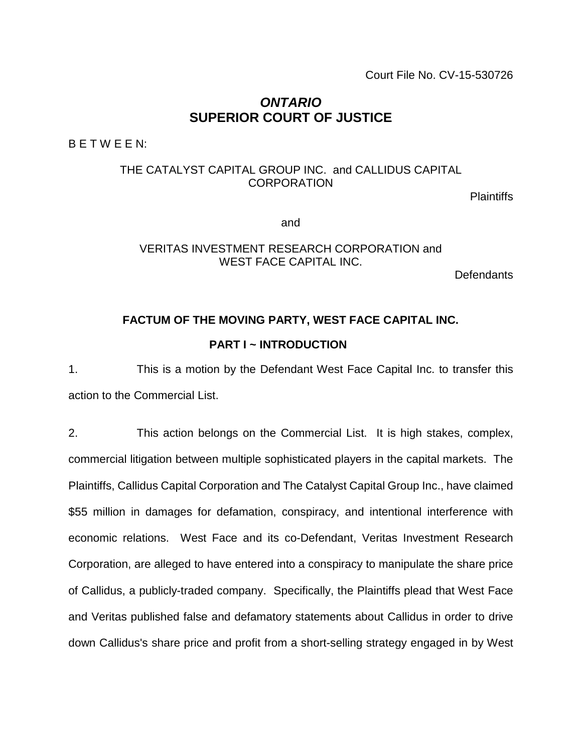Court File No. CV-15-530726

# *ONTARIO* **SUPERIOR COURT OF JUSTICE**

B E T W E E N:

# THE CATALYST CAPITAL GROUP INC. and CALLIDUS CAPITAL **CORPORATION**

Plaintiffs

and

#### VERITAS INVESTMENT RESEARCH CORPORATION and WEST FACE CAPITAL INC.

**Defendants** 

# **FACTUM OF THE MOVING PARTY, WEST FACE CAPITAL INC.**

# **PART I ~ INTRODUCTION**

1. This is a motion by the Defendant West Face Capital Inc. to transfer this action to the Commercial List.

2. This action belongs on the Commercial List. It is high stakes, complex, commercial litigation between multiple sophisticated players in the capital markets. The Plaintiffs, Callidus Capital Corporation and The Catalyst Capital Group Inc., have claimed \$55 million in damages for defamation, conspiracy, and intentional interference with economic relations. West Face and its co-Defendant, Veritas Investment Research Corporation, are alleged to have entered into a conspiracy to manipulate the share price of Callidus, a publicly-traded company. Specifically, the Plaintiffs plead that West Face and Veritas published false and defamatory statements about Callidus in order to drive down Callidus's share price and profit from a short-selling strategy engaged in by West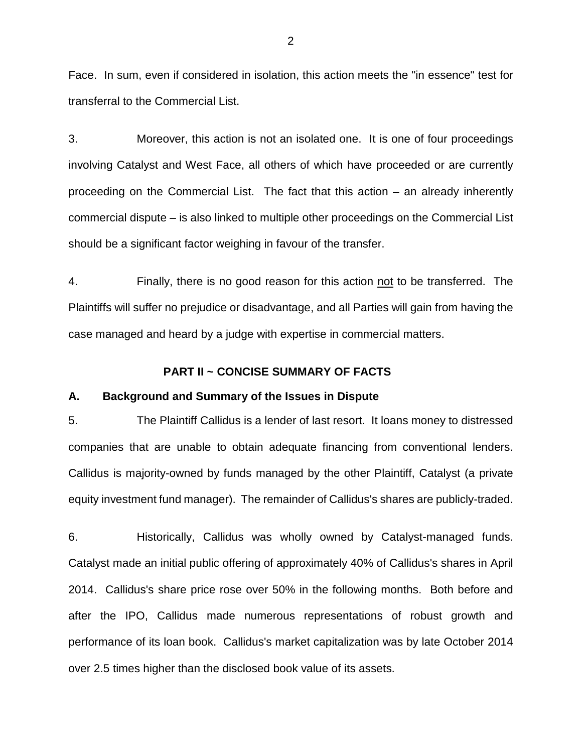Face. In sum, even if considered in isolation, this action meets the "in essence" test for transferral to the Commercial List.

3. Moreover, this action is not an isolated one. It is one of four proceedings involving Catalyst and West Face, all others of which have proceeded or are currently proceeding on the Commercial List. The fact that this action – an already inherently commercial dispute – is also linked to multiple other proceedings on the Commercial List should be a significant factor weighing in favour of the transfer.

4. Finally, there is no good reason for this action not to be transferred. The Plaintiffs will suffer no prejudice or disadvantage, and all Parties will gain from having the case managed and heard by a judge with expertise in commercial matters.

#### **PART II ~ CONCISE SUMMARY OF FACTS**

#### **A. Background and Summary of the Issues in Dispute**

5. The Plaintiff Callidus is a lender of last resort. It loans money to distressed companies that are unable to obtain adequate financing from conventional lenders. Callidus is majority-owned by funds managed by the other Plaintiff, Catalyst (a private equity investment fund manager). The remainder of Callidus's shares are publicly-traded.

6. Historically, Callidus was wholly owned by Catalyst-managed funds. Catalyst made an initial public offering of approximately 40% of Callidus's shares in April 2014. Callidus's share price rose over 50% in the following months. Both before and after the IPO, Callidus made numerous representations of robust growth and performance of its loan book. Callidus's market capitalization was by late October 2014 over 2.5 times higher than the disclosed book value of its assets.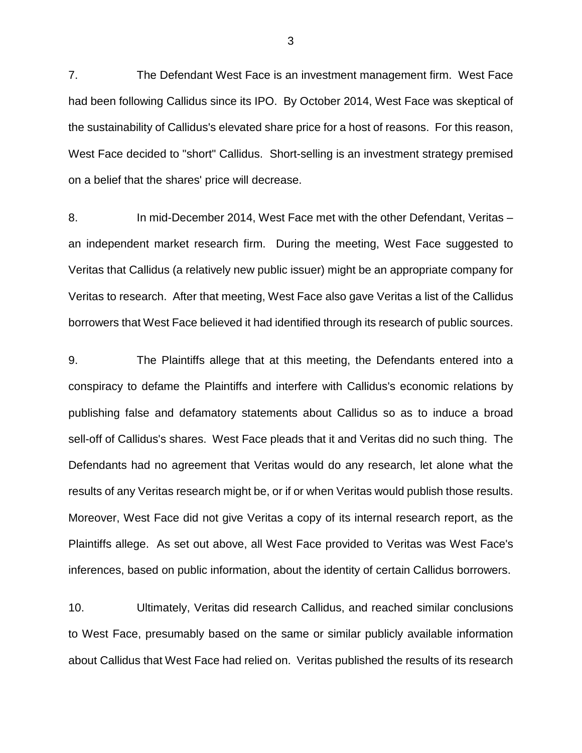7. The Defendant West Face is an investment management firm. West Face had been following Callidus since its IPO. By October 2014, West Face was skeptical of the sustainability of Callidus's elevated share price for a host of reasons. For this reason, West Face decided to "short" Callidus. Short-selling is an investment strategy premised on a belief that the shares' price will decrease.

8. In mid-December 2014, West Face met with the other Defendant, Veritas – an independent market research firm. During the meeting, West Face suggested to Veritas that Callidus (a relatively new public issuer) might be an appropriate company for Veritas to research. After that meeting, West Face also gave Veritas a list of the Callidus borrowers that West Face believed it had identified through its research of public sources.

9. The Plaintiffs allege that at this meeting, the Defendants entered into a conspiracy to defame the Plaintiffs and interfere with Callidus's economic relations by publishing false and defamatory statements about Callidus so as to induce a broad sell-off of Callidus's shares. West Face pleads that it and Veritas did no such thing. The Defendants had no agreement that Veritas would do any research, let alone what the results of any Veritas research might be, or if or when Veritas would publish those results. Moreover, West Face did not give Veritas a copy of its internal research report, as the Plaintiffs allege. As set out above, all West Face provided to Veritas was West Face's inferences, based on public information, about the identity of certain Callidus borrowers.

10. Ultimately, Veritas did research Callidus, and reached similar conclusions to West Face, presumably based on the same or similar publicly available information about Callidus that West Face had relied on. Veritas published the results of its research

3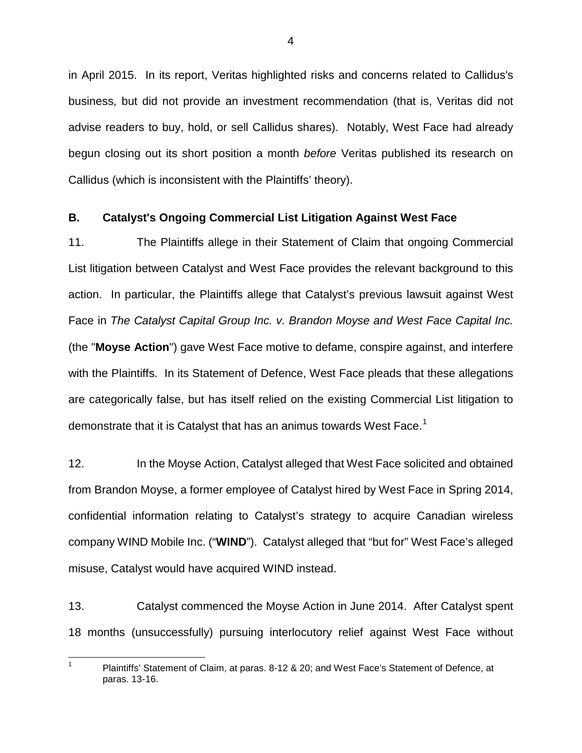in April 2015. In its report, Veritas highlighted risks and concerns related to Callidus's business, but did not provide an investment recommendation (that is, Veritas did not advise readers to buy, hold, or sell Callidus shares). Notably, West Face had already begun closing out its short position a month *before* Veritas published its research on Callidus (which is inconsistent with the Plaintiffs' theory).

#### **B. Catalyst's Ongoing Commercial List Litigation Against West Face**

11. The Plaintiffs allege in their Statement of Claim that ongoing Commercial List litigation between Catalyst and West Face provides the relevant background to this action. In particular, the Plaintiffs allege that Catalyst's previous lawsuit against West Face in *The Catalyst Capital Group Inc. v. Brandon Moyse and West Face Capital Inc.* (the "**Moyse Action**") gave West Face motive to defame, conspire against, and interfere with the Plaintiffs. In its Statement of Defence, West Face pleads that these allegations are categorically false, but has itself relied on the existing Commercial List litigation to demonstrate that it is Catalyst that has an animus towards West Face. $^{\rm 1}$  $^{\rm 1}$  $^{\rm 1}$ 

12. In the Moyse Action, Catalyst alleged that West Face solicited and obtained from Brandon Moyse, a former employee of Catalyst hired by West Face in Spring 2014, confidential information relating to Catalyst's strategy to acquire Canadian wireless company WIND Mobile Inc. ("**WIND**"). Catalyst alleged that "but for" West Face's alleged misuse, Catalyst would have acquired WIND instead.

13. Catalyst commenced the Moyse Action in June 2014. After Catalyst spent 18 months (unsuccessfully) pursuing interlocutory relief against West Face without

<span id="page-6-0"></span><sup>&</sup>lt;sup>1</sup> Plaintiffs' Statement of Claim, at paras. 8-12 & 20; and West Face's Statement of Defence, at paras. 13-16.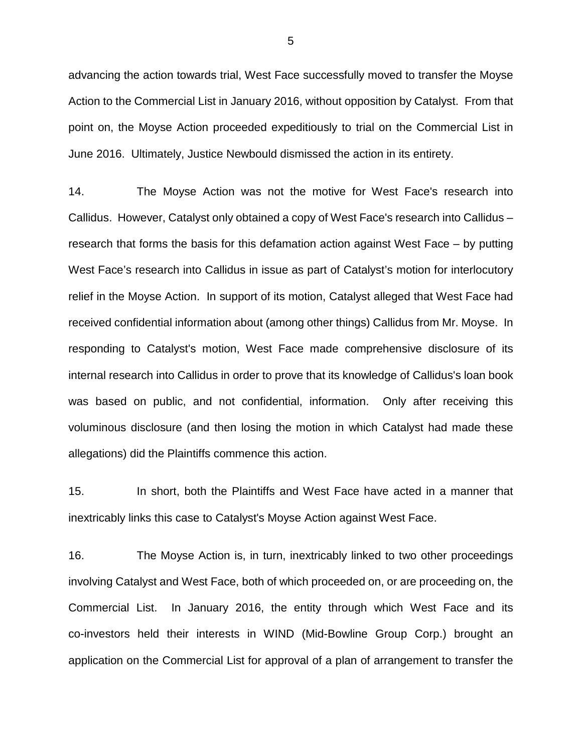advancing the action towards trial, West Face successfully moved to transfer the Moyse Action to the Commercial List in January 2016, without opposition by Catalyst. From that point on, the Moyse Action proceeded expeditiously to trial on the Commercial List in June 2016. Ultimately, Justice Newbould dismissed the action in its entirety.

14. The Moyse Action was not the motive for West Face's research into Callidus. However, Catalyst only obtained a copy of West Face's research into Callidus – research that forms the basis for this defamation action against West Face – by putting West Face's research into Callidus in issue as part of Catalyst's motion for interlocutory relief in the Moyse Action. In support of its motion, Catalyst alleged that West Face had received confidential information about (among other things) Callidus from Mr. Moyse. In responding to Catalyst's motion, West Face made comprehensive disclosure of its internal research into Callidus in order to prove that its knowledge of Callidus's loan book was based on public, and not confidential, information. Only after receiving this voluminous disclosure (and then losing the motion in which Catalyst had made these allegations) did the Plaintiffs commence this action.

15. In short, both the Plaintiffs and West Face have acted in a manner that inextricably links this case to Catalyst's Moyse Action against West Face.

16. The Moyse Action is, in turn, inextricably linked to two other proceedings involving Catalyst and West Face, both of which proceeded on, or are proceeding on, the Commercial List. In January 2016, the entity through which West Face and its co-investors held their interests in WIND (Mid-Bowline Group Corp.) brought an application on the Commercial List for approval of a plan of arrangement to transfer the

5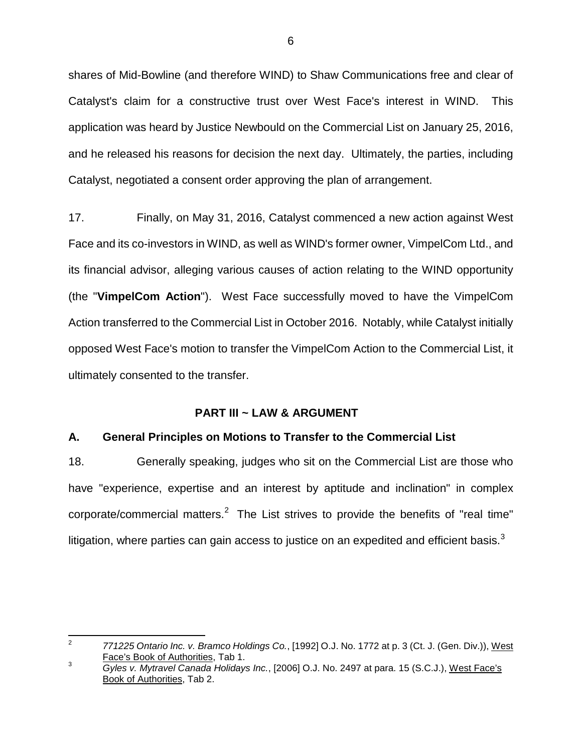shares of Mid-Bowline (and therefore WIND) to Shaw Communications free and clear of Catalyst's claim for a constructive trust over West Face's interest in WIND. This application was heard by Justice Newbould on the Commercial List on January 25, 2016, and he released his reasons for decision the next day. Ultimately, the parties, including Catalyst, negotiated a consent order approving the plan of arrangement.

17. Finally, on May 31, 2016, Catalyst commenced a new action against West Face and its co-investors in WIND, as well as WIND's former owner, VimpelCom Ltd., and its financial advisor, alleging various causes of action relating to the WIND opportunity (the "**VimpelCom Action**"). West Face successfully moved to have the VimpelCom Action transferred to the Commercial List in October 2016. Notably, while Catalyst initially opposed West Face's motion to transfer the VimpelCom Action to the Commercial List, it ultimately consented to the transfer.

#### **PART III ~ LAW & ARGUMENT**

# **A. General Principles on Motions to Transfer to the Commercial List**

18. Generally speaking, judges who sit on the Commercial List are those who have "experience, expertise and an interest by aptitude and inclination" in complex corporate/commercial matters. $2$  The List strives to provide the benefits of "real time" litigation, where parties can gain access to justice on an expedited and efficient basis. $^3$  $^3$ 

<span id="page-8-0"></span> <sup>2</sup> *771225 Ontario Inc. v. Bramco Holdings Co.*, [1992] O.J. No. 1772 at p. 3 (Ct. J. (Gen. Div.)), West Face's Book of Authorities, Tab 1.

<span id="page-8-1"></span><sup>3</sup> *Gyles v. Mytravel Canada Holidays Inc.*, [2006] O.J. No. 2497 at para. 15 (S.C.J.), West Face's Book of Authorities, Tab 2.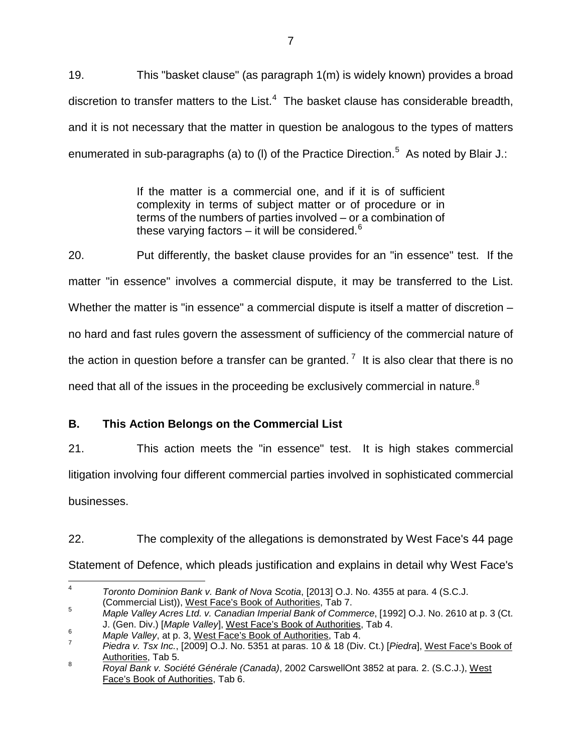19. This "basket clause" (as paragraph 1(m) is widely known) provides a broad discretion to transfer matters to the List. $4$  The basket clause has considerable breadth, and it is not necessary that the matter in question be analogous to the types of matters enumerated in sub-paragraphs (a) to (I) of the Practice Direction.<sup>[5](#page-9-1)</sup> As noted by Blair J.:

> If the matter is a commercial one, and if it is of sufficient complexity in terms of subject matter or of procedure or in terms of the numbers of parties involved – or a combination of these varying factors – it will be considered. $6$

20. Put differently, the basket clause provides for an "in essence" test. If the matter "in essence" involves a commercial dispute, it may be transferred to the List. Whether the matter is "in essence" a commercial dispute is itself a matter of discretion – no hard and fast rules govern the assessment of sufficiency of the commercial nature of the action in question before a transfer can be granted.<sup>[7](#page-9-3)</sup> It is also clear that there is no need that all of the issues in the proceeding be exclusively commercial in nature.<sup>[8](#page-9-4)</sup>

# **B. This Action Belongs on the Commercial List**

21. This action meets the "in essence" test. It is high stakes commercial litigation involving four different commercial parties involved in sophisticated commercial businesses.

22. The complexity of the allegations is demonstrated by West Face's 44 page Statement of Defence, which pleads justification and explains in detail why West Face's

<span id="page-9-0"></span> <sup>4</sup> *Toronto Dominion Bank v. Bank of Nova Scotia*, [2013] O.J. No. 4355 at para. 4 (S.C.J.

<sup>(</sup>Commercial List)), West Face's Book of Authorities, Tab 7.

<span id="page-9-1"></span><sup>5</sup> *Maple Valley Acres Ltd. v. Canadian Imperial Bank of Commerce*, [1992] O.J. No. 2610 at p. 3 (Ct. J. (Gen. Div.) [*Maple Valley*], West Face's Book of Authorities, Tab 4.

<span id="page-9-3"></span><span id="page-9-2"></span><sup>&</sup>lt;sup>6</sup> *Maple Valley*, at p. 3, West Face's Book of Authorities, Tab 4.<br><sup>7</sup> *Piedra v. Tsx Inc.*, [2009] O.J. No. 5351 at paras. 10 & 18 (Div. Ct.) [*Piedra*], West Face's Book of Authorities, Tab 5.

<span id="page-9-4"></span><sup>8</sup> *Royal Bank v. Société Générale (Canada)*, 2002 CarswellOnt 3852 at para. 2. (S.C.J.), West Face's Book of Authorities, Tab 6.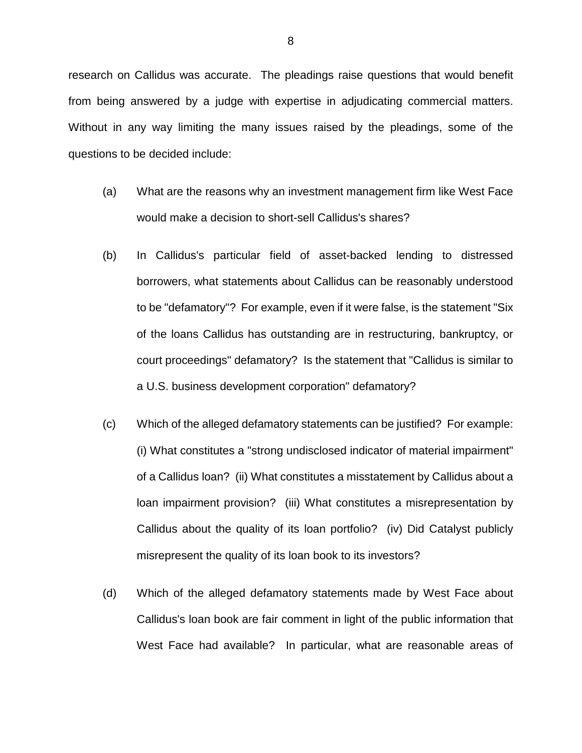research on Callidus was accurate. The pleadings raise questions that would benefit from being answered by a judge with expertise in adjudicating commercial matters. Without in any way limiting the many issues raised by the pleadings, some of the questions to be decided include:

- (a) What are the reasons why an investment management firm like West Face would make a decision to short-sell Callidus's shares?
- (b) In Callidus's particular field of asset-backed lending to distressed borrowers, what statements about Callidus can be reasonably understood to be "defamatory"? For example, even if it were false, is the statement "Six of the loans Callidus has outstanding are in restructuring, bankruptcy, or court proceedings" defamatory? Is the statement that "Callidus is similar to a U.S. business development corporation" defamatory?
- (c) Which of the alleged defamatory statements can be justified? For example: (i) What constitutes a "strong undisclosed indicator of material impairment" of a Callidus loan? (ii) What constitutes a misstatement by Callidus about a loan impairment provision? (iii) What constitutes a misrepresentation by Callidus about the quality of its loan portfolio? (iv) Did Catalyst publicly misrepresent the quality of its loan book to its investors?
- (d) Which of the alleged defamatory statements made by West Face about Callidus's loan book are fair comment in light of the public information that West Face had available? In particular, what are reasonable areas of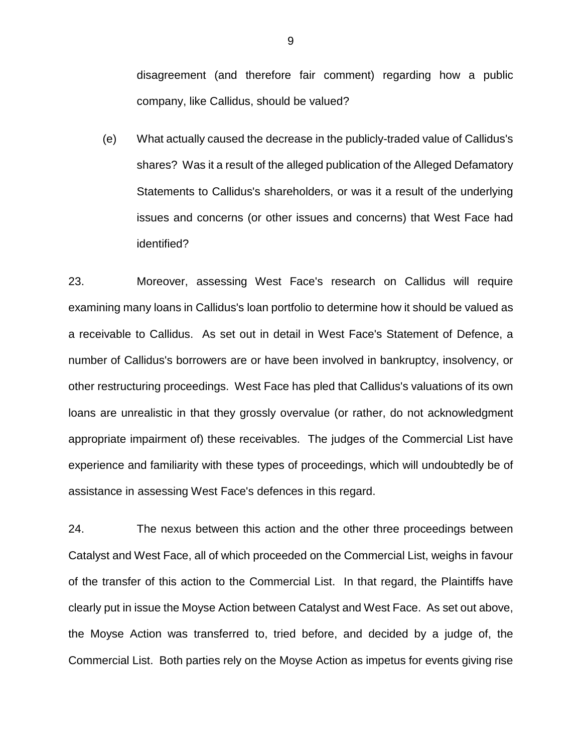disagreement (and therefore fair comment) regarding how a public company, like Callidus, should be valued?

(e) What actually caused the decrease in the publicly-traded value of Callidus's shares? Was it a result of the alleged publication of the Alleged Defamatory Statements to Callidus's shareholders, or was it a result of the underlying issues and concerns (or other issues and concerns) that West Face had identified?

23. Moreover, assessing West Face's research on Callidus will require examining many loans in Callidus's loan portfolio to determine how it should be valued as a receivable to Callidus. As set out in detail in West Face's Statement of Defence, a number of Callidus's borrowers are or have been involved in bankruptcy, insolvency, or other restructuring proceedings. West Face has pled that Callidus's valuations of its own loans are unrealistic in that they grossly overvalue (or rather, do not acknowledgment appropriate impairment of) these receivables. The judges of the Commercial List have experience and familiarity with these types of proceedings, which will undoubtedly be of assistance in assessing West Face's defences in this regard.

24. The nexus between this action and the other three proceedings between Catalyst and West Face, all of which proceeded on the Commercial List, weighs in favour of the transfer of this action to the Commercial List. In that regard, the Plaintiffs have clearly put in issue the Moyse Action between Catalyst and West Face. As set out above, the Moyse Action was transferred to, tried before, and decided by a judge of, the Commercial List. Both parties rely on the Moyse Action as impetus for events giving rise

9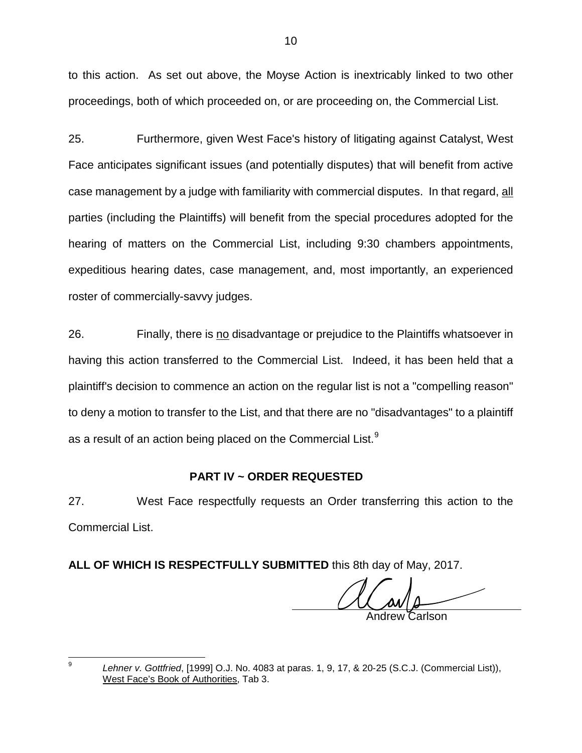to this action. As set out above, the Moyse Action is inextricably linked to two other proceedings, both of which proceeded on, or are proceeding on, the Commercial List.

25. Furthermore, given West Face's history of litigating against Catalyst, West Face anticipates significant issues (and potentially disputes) that will benefit from active case management by a judge with familiarity with commercial disputes. In that regard, all parties (including the Plaintiffs) will benefit from the special procedures adopted for the hearing of matters on the Commercial List, including 9:30 chambers appointments, expeditious hearing dates, case management, and, most importantly, an experienced roster of commercially-savvy judges.

26. Finally, there is no disadvantage or prejudice to the Plaintiffs whatsoever in having this action transferred to the Commercial List. Indeed, it has been held that a plaintiff's decision to commence an action on the regular list is not a "compelling reason" to deny a motion to transfer to the List, and that there are no "disadvantages" to a plaintiff as a result of an action being placed on the Commercial List. $^9$  $^9$ 

# **PART IV ~ ORDER REQUESTED**

27. West Face respectfully requests an Order transferring this action to the Commercial List.

**ALL OF WHICH IS RESPECTFULLY SUBMITTED** this 8th day of May, 2017.

Andrew Carlson

<span id="page-12-0"></span> 9 *Lehner v. Gottfried*, [1999] O.J. No. 4083 at paras. 1, 9, 17, & 20-25 (S.C.J. (Commercial List)), West Face's Book of Authorities, Tab 3.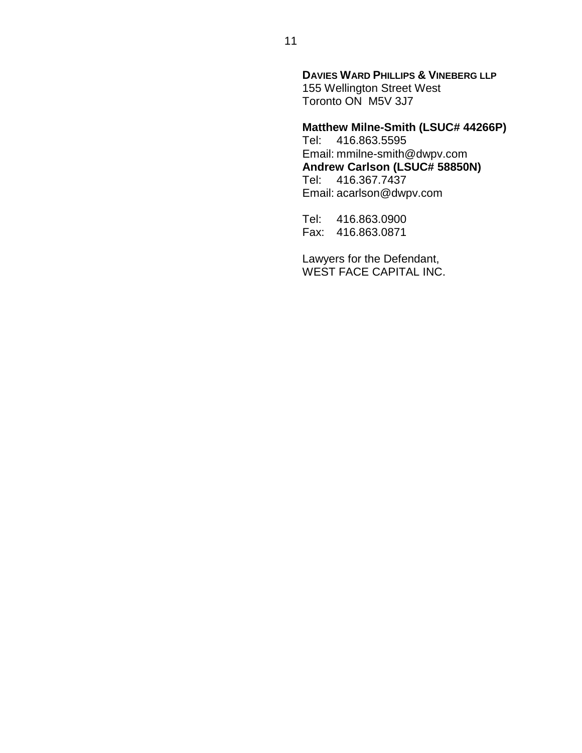**DAVIES WARD PHILLIPS & VINEBERG LLP** 155 Wellington Street West Toronto ON M5V 3J7

# **Matthew Milne-Smith (LSUC# 44266P)**

Tel: 416.863.5595 Email: mmilne-smith@dwpv.com **Andrew Carlson (LSUC# 58850N)** Tel: 416.367.7437 Email: acarlson@dwpv.com

Tel: 416.863.0900 Fax: 416.863.0871

Lawyers for the Defendant, WEST FACE CAPITAL INC.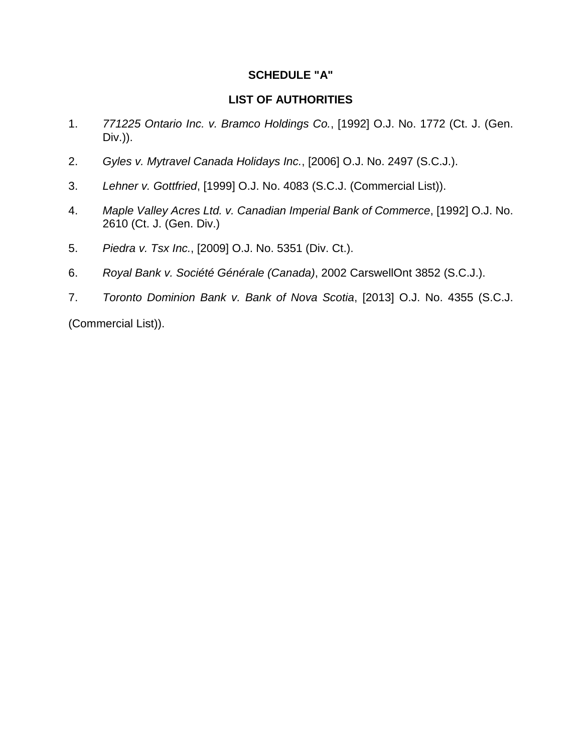# **SCHEDULE "A"**

#### **LIST OF AUTHORITIES**

- 1. *771225 Ontario Inc. v. Bramco Holdings Co.*, [1992] O.J. No. 1772 (Ct. J. (Gen. Div.)).
- 2. *Gyles v. Mytravel Canada Holidays Inc.*, [2006] O.J. No. 2497 (S.C.J.).
- 3. *Lehner v. Gottfried*, [1999] O.J. No. 4083 (S.C.J. (Commercial List)).
- 4. *Maple Valley Acres Ltd. v. Canadian Imperial Bank of Commerce*, [1992] O.J. No. 2610 (Ct. J. (Gen. Div.)
- 5. *Piedra v. Tsx Inc.*, [2009] O.J. No. 5351 (Div. Ct.).
- 6. *Royal Bank v. Société Générale (Canada)*, 2002 CarswellOnt 3852 (S.C.J.).
- 7. *Toronto Dominion Bank v. Bank of Nova Scotia*, [2013] O.J. No. 4355 (S.C.J.

(Commercial List)).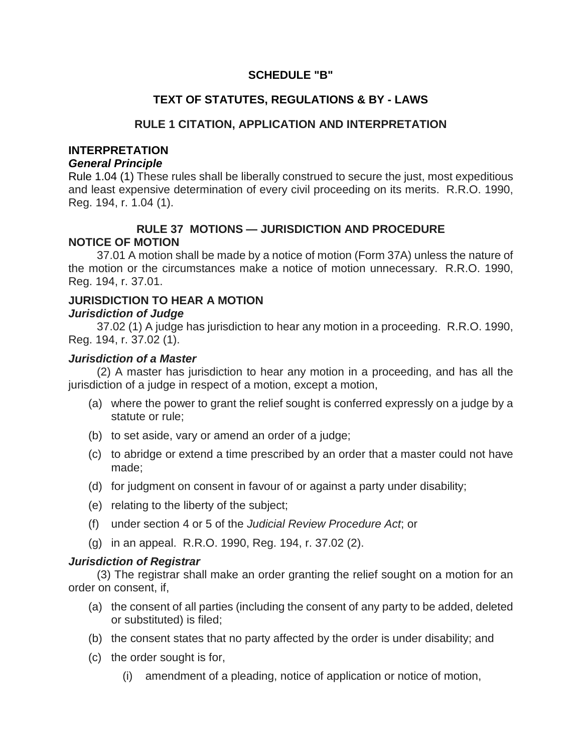# **SCHEDULE "B"**

# **TEXT OF STATUTES, REGULATIONS & BY - LAWS**

# **RULE 1 CITATION, APPLICATION AND INTERPRETATION**

#### **INTERPRETATION**

#### *General Principle*

Rule 1.04 (1) These rules shall be liberally construed to secure the just, most expeditious and least expensive determination of every civil proceeding on its merits. R.R.O. 1990, Reg. 194, r. 1.04 (1).

# **RULE 37 MOTIONS — JURISDICTION AND PROCEDURE NOTICE OF MOTION**

37.01 A motion shall be made by a notice of motion (Form 37A) unless the nature of the motion or the circumstances make a notice of motion unnecessary. R.R.O. 1990, Reg. 194, r. 37.01.

#### **JURISDICTION TO HEAR A MOTION** *Jurisdiction of Judge*

37.02 (1) A judge has jurisdiction to hear any motion in a proceeding. R.R.O. 1990, Reg. 194, r. 37.02 (1).

#### *Jurisdiction of a Master*

(2) A master has jurisdiction to hear any motion in a proceeding, and has all the jurisdiction of a judge in respect of a motion, except a motion,

- (a) where the power to grant the relief sought is conferred expressly on a judge by a statute or rule;
- (b) to set aside, vary or amend an order of a judge;
- (c) to abridge or extend a time prescribed by an order that a master could not have made;
- (d) for judgment on consent in favour of or against a party under disability;
- (e) relating to the liberty of the subject;
- (f) under section 4 or 5 of the *Judicial Review Procedure Act*; or
- (g) in an appeal. R.R.O. 1990, Reg. 194, r. 37.02 (2).

# *Jurisdiction of Registrar*

(3) The registrar shall make an order granting the relief sought on a motion for an order on consent, if,

- (a) the consent of all parties (including the consent of any party to be added, deleted or substituted) is filed;
- (b) the consent states that no party affected by the order is under disability; and
- (c) the order sought is for,
	- (i) amendment of a pleading, notice of application or notice of motion,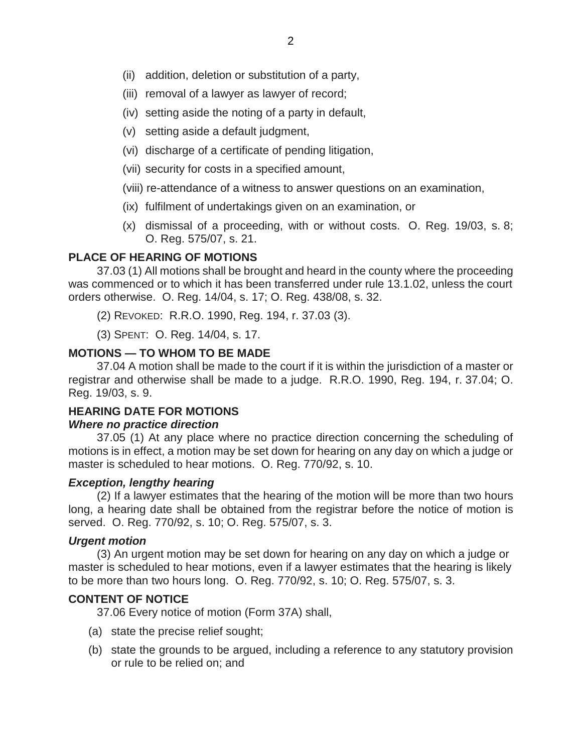- (ii) addition, deletion or substitution of a party,
- (iii) removal of a lawyer as lawyer of record;
- (iv) setting aside the noting of a party in default,
- (v) setting aside a default judgment,
- (vi) discharge of a certificate of pending litigation,
- (vii) security for costs in a specified amount,
- (viii) re-attendance of a witness to answer questions on an examination,
- (ix) fulfilment of undertakings given on an examination, or
- (x) dismissal of a proceeding, with or without costs. O. Reg. 19/03, s. 8; O. Reg. 575/07, s. 21.

# **PLACE OF HEARING OF MOTIONS**

37.03 (1) All motions shall be brought and heard in the county where the proceeding was commenced or to which it has been transferred under rule 13.1.02, unless the court orders otherwise. O. Reg. 14/04, s. 17; O. Reg. 438/08, s. 32.

(2) REVOKED: R.R.O. 1990, Reg. 194, r. 37.03 (3).

(3) SPENT: O. Reg. 14/04, s. 17.

# **MOTIONS — TO WHOM TO BE MADE**

37.04 A motion shall be made to the court if it is within the jurisdiction of a master or registrar and otherwise shall be made to a judge. R.R.O. 1990, Reg. 194, r. 37.04; O. Reg. 19/03, s. 9.

# **HEARING DATE FOR MOTIONS**

#### *Where no practice direction*

37.05 (1) At any place where no practice direction concerning the scheduling of motions is in effect, a motion may be set down for hearing on any day on which a judge or master is scheduled to hear motions. O. Reg. 770/92, s. 10.

#### *Exception, lengthy hearing*

(2) If a lawyer estimates that the hearing of the motion will be more than two hours long, a hearing date shall be obtained from the registrar before the notice of motion is served. O. Reg. 770/92, s. 10; O. Reg. 575/07, s. 3.

#### *Urgent motion*

(3) An urgent motion may be set down for hearing on any day on which a judge or master is scheduled to hear motions, even if a lawyer estimates that the hearing is likely to be more than two hours long. O. Reg. 770/92, s. 10; O. Reg. 575/07, s. 3.

# **CONTENT OF NOTICE**

37.06 Every notice of motion (Form 37A) shall,

- (a) state the precise relief sought;
- (b) state the grounds to be argued, including a reference to any statutory provision or rule to be relied on; and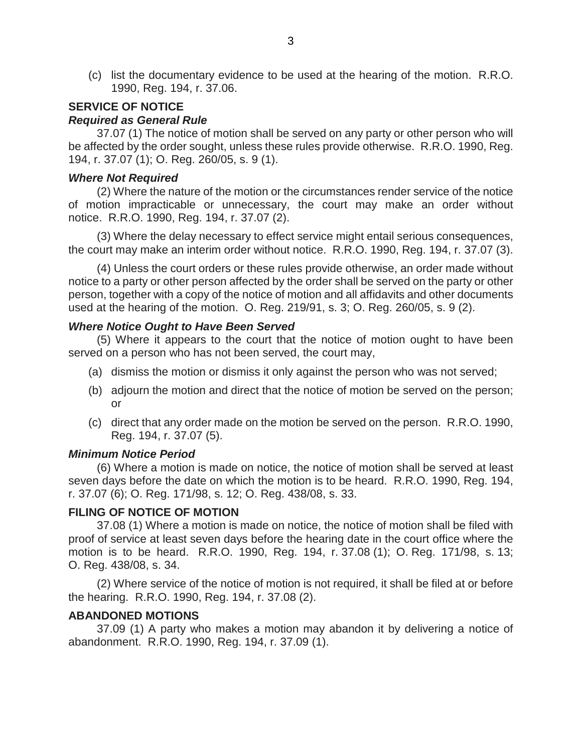(c) list the documentary evidence to be used at the hearing of the motion. R.R.O. 1990, Reg. 194, r. 37.06.

# **SERVICE OF NOTICE**

# *Required as General Rule*

37.07 (1) The notice of motion shall be served on any party or other person who will be affected by the order sought, unless these rules provide otherwise. R.R.O. 1990, Reg. 194, r. 37.07 (1); O. Reg. 260/05, s. 9 (1).

#### *Where Not Required*

(2) Where the nature of the motion or the circumstances render service of the notice of motion impracticable or unnecessary, the court may make an order without notice. R.R.O. 1990, Reg. 194, r. 37.07 (2).

(3) Where the delay necessary to effect service might entail serious consequences, the court may make an interim order without notice. R.R.O. 1990, Reg. 194, r. 37.07 (3).

(4) Unless the court orders or these rules provide otherwise, an order made without notice to a party or other person affected by the order shall be served on the party or other person, together with a copy of the notice of motion and all affidavits and other documents used at the hearing of the motion. O. Reg. 219/91, s. 3; O. Reg. 260/05, s. 9 (2).

#### *Where Notice Ought to Have Been Served*

(5) Where it appears to the court that the notice of motion ought to have been served on a person who has not been served, the court may,

- (a) dismiss the motion or dismiss it only against the person who was not served;
- (b) adjourn the motion and direct that the notice of motion be served on the person; or
- (c) direct that any order made on the motion be served on the person. R.R.O. 1990, Reg. 194, r. 37.07 (5).

#### *Minimum Notice Period*

(6) Where a motion is made on notice, the notice of motion shall be served at least seven days before the date on which the motion is to be heard. R.R.O. 1990, Reg. 194, r. 37.07 (6); O. Reg. 171/98, s. 12; O. Reg. 438/08, s. 33.

#### **FILING OF NOTICE OF MOTION**

37.08 (1) Where a motion is made on notice, the notice of motion shall be filed with proof of service at least seven days before the hearing date in the court office where the motion is to be heard. R.R.O. 1990, Reg. 194, r. 37.08 (1); O. Reg. 171/98, s. 13; O. Reg. 438/08, s. 34.

(2) Where service of the notice of motion is not required, it shall be filed at or before the hearing. R.R.O. 1990, Reg. 194, r. 37.08 (2).

#### **ABANDONED MOTIONS**

37.09 (1) A party who makes a motion may abandon it by delivering a notice of abandonment. R.R.O. 1990, Reg. 194, r. 37.09 (1).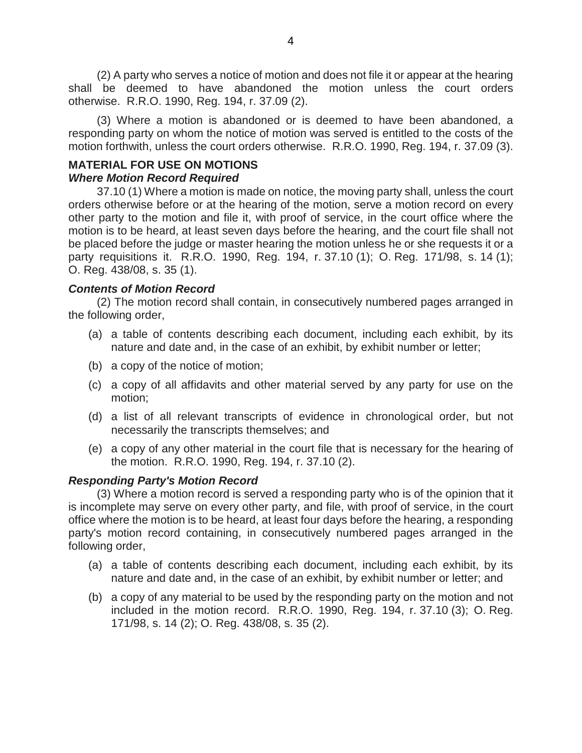(2) A party who serves a notice of motion and does not file it or appear at the hearing shall be deemed to have abandoned the motion unless the court orders otherwise. R.R.O. 1990, Reg. 194, r. 37.09 (2).

(3) Where a motion is abandoned or is deemed to have been abandoned, a responding party on whom the notice of motion was served is entitled to the costs of the motion forthwith, unless the court orders otherwise. R.R.O. 1990, Reg. 194, r. 37.09 (3).

# **MATERIAL FOR USE ON MOTIONS**

#### *Where Motion Record Required*

37.10 (1) Where a motion is made on notice, the moving party shall, unless the court orders otherwise before or at the hearing of the motion, serve a motion record on every other party to the motion and file it, with proof of service, in the court office where the motion is to be heard, at least seven days before the hearing, and the court file shall not be placed before the judge or master hearing the motion unless he or she requests it or a party requisitions it. R.R.O. 1990, Reg. 194, r. 37.10 (1); O. Reg. 171/98, s. 14 (1); O. Reg. 438/08, s. 35 (1).

# *Contents of Motion Record*

(2) The motion record shall contain, in consecutively numbered pages arranged in the following order,

- (a) a table of contents describing each document, including each exhibit, by its nature and date and, in the case of an exhibit, by exhibit number or letter;
- (b) a copy of the notice of motion;
- (c) a copy of all affidavits and other material served by any party for use on the motion;
- (d) a list of all relevant transcripts of evidence in chronological order, but not necessarily the transcripts themselves; and
- (e) a copy of any other material in the court file that is necessary for the hearing of the motion. R.R.O. 1990, Reg. 194, r. 37.10 (2).

# *Responding Party's Motion Record*

(3) Where a motion record is served a responding party who is of the opinion that it is incomplete may serve on every other party, and file, with proof of service, in the court office where the motion is to be heard, at least four days before the hearing, a responding party's motion record containing, in consecutively numbered pages arranged in the following order,

- (a) a table of contents describing each document, including each exhibit, by its nature and date and, in the case of an exhibit, by exhibit number or letter; and
- (b) a copy of any material to be used by the responding party on the motion and not included in the motion record. R.R.O. 1990, Reg. 194, r. 37.10 (3); O. Reg. 171/98, s. 14 (2); O. Reg. 438/08, s. 35 (2).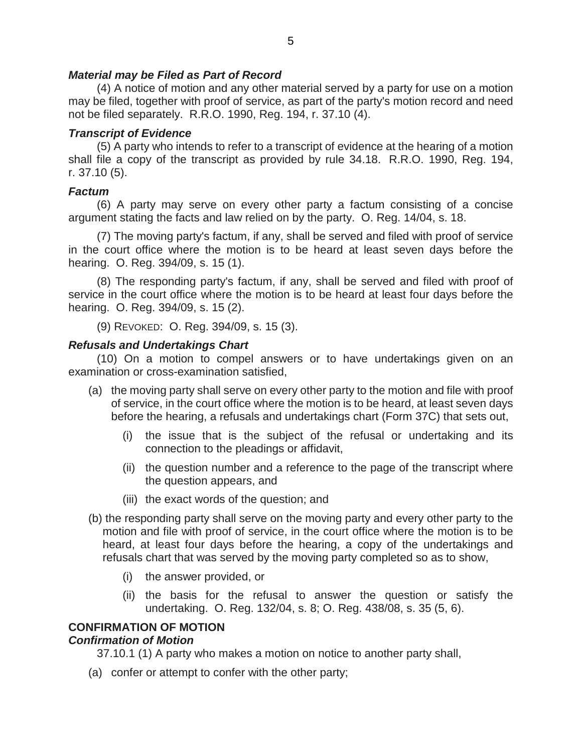# *Material may be Filed as Part of Record*

(4) A notice of motion and any other material served by a party for use on a motion may be filed, together with proof of service, as part of the party's motion record and need not be filed separately. R.R.O. 1990, Reg. 194, r. 37.10 (4).

# *Transcript of Evidence*

(5) A party who intends to refer to a transcript of evidence at the hearing of a motion shall file a copy of the transcript as provided by rule 34.18. R.R.O. 1990, Reg. 194, r. 37.10 (5).

# *Factum*

(6) A party may serve on every other party a factum consisting of a concise argument stating the facts and law relied on by the party. O. Reg. 14/04, s. 18.

(7) The moving party's factum, if any, shall be served and filed with proof of service in the court office where the motion is to be heard at least seven days before the hearing. O. Reg. 394/09, s. 15 (1).

(8) The responding party's factum, if any, shall be served and filed with proof of service in the court office where the motion is to be heard at least four days before the hearing. O. Reg. 394/09, s. 15 (2).

(9) REVOKED: O. Reg. 394/09, s. 15 (3).

# *Refusals and Undertakings Chart*

(10) On a motion to compel answers or to have undertakings given on an examination or cross-examination satisfied,

- (a) the moving party shall serve on every other party to the motion and file with proof of service, in the court office where the motion is to be heard, at least seven days before the hearing, a refusals and undertakings chart (Form 37C) that sets out,
	- (i) the issue that is the subject of the refusal or undertaking and its connection to the pleadings or affidavit,
	- (ii) the question number and a reference to the page of the transcript where the question appears, and
	- (iii) the exact words of the question; and
- (b) the responding party shall serve on the moving party and every other party to the motion and file with proof of service, in the court office where the motion is to be heard, at least four days before the hearing, a copy of the undertakings and refusals chart that was served by the moving party completed so as to show,
	- (i) the answer provided, or
	- (ii) the basis for the refusal to answer the question or satisfy the undertaking. O. Reg. 132/04, s. 8; O. Reg. 438/08, s. 35 (5, 6).

# **CONFIRMATION OF MOTION**

# *Confirmation of Motion*

37.10.1 (1) A party who makes a motion on notice to another party shall,

(a) confer or attempt to confer with the other party;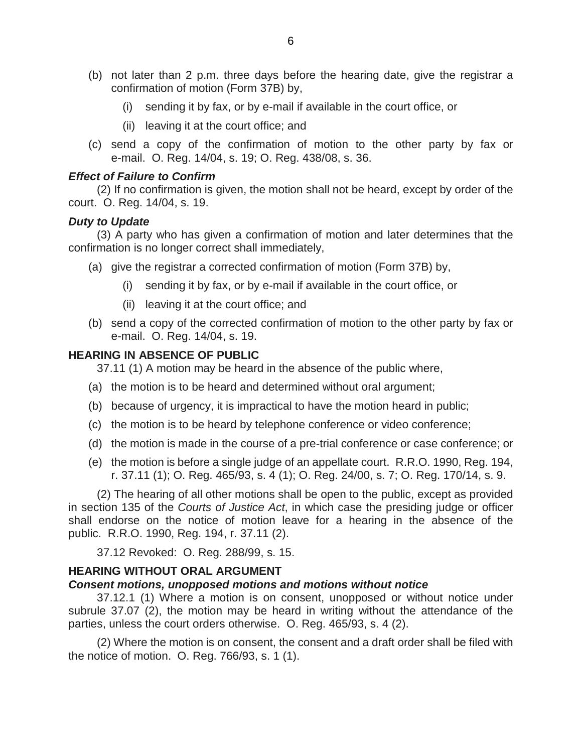- (b) not later than 2 p.m. three days before the hearing date, give the registrar a confirmation of motion (Form 37B) by,
	- (i) sending it by fax, or by e-mail if available in the court office, or
	- (ii) leaving it at the court office; and
- (c) send a copy of the confirmation of motion to the other party by fax or e-mail. O. Reg. 14/04, s. 19; O. Reg. 438/08, s. 36.

#### *Effect of Failure to Confirm*

(2) If no confirmation is given, the motion shall not be heard, except by order of the court. O. Reg. 14/04, s. 19.

#### *Duty to Update*

(3) A party who has given a confirmation of motion and later determines that the confirmation is no longer correct shall immediately,

- (a) give the registrar a corrected confirmation of motion (Form 37B) by,
	- (i) sending it by fax, or by e-mail if available in the court office, or
	- (ii) leaving it at the court office; and
- (b) send a copy of the corrected confirmation of motion to the other party by fax or e-mail. O. Reg. 14/04, s. 19.

#### **HEARING IN ABSENCE OF PUBLIC**

37.11 (1) A motion may be heard in the absence of the public where,

- (a) the motion is to be heard and determined without oral argument;
- (b) because of urgency, it is impractical to have the motion heard in public;
- (c) the motion is to be heard by telephone conference or video conference;
- (d) the motion is made in the course of a pre-trial conference or case conference; or
- (e) the motion is before a single judge of an appellate court. R.R.O. 1990, Reg. 194, r. 37.11 (1); O. Reg. 465/93, s. 4 (1); O. Reg. 24/00, s. 7; O. Reg. 170/14, s. 9.

(2) The hearing of all other motions shall be open to the public, except as provided in section 135 of the *Courts of Justice Act*, in which case the presiding judge or officer shall endorse on the notice of motion leave for a hearing in the absence of the public. R.R.O. 1990, Reg. 194, r. 37.11 (2).

37.12 Revoked: O. Reg. 288/99, s. 15.

#### **HEARING WITHOUT ORAL ARGUMENT**

#### *Consent motions, unopposed motions and motions without notice*

37.12.1 (1) Where a motion is on consent, unopposed or without notice under subrule 37.07 (2), the motion may be heard in writing without the attendance of the parties, unless the court orders otherwise. O. Reg. 465/93, s. 4 (2).

(2) Where the motion is on consent, the consent and a draft order shall be filed with the notice of motion. O. Reg. 766/93, s. 1 (1).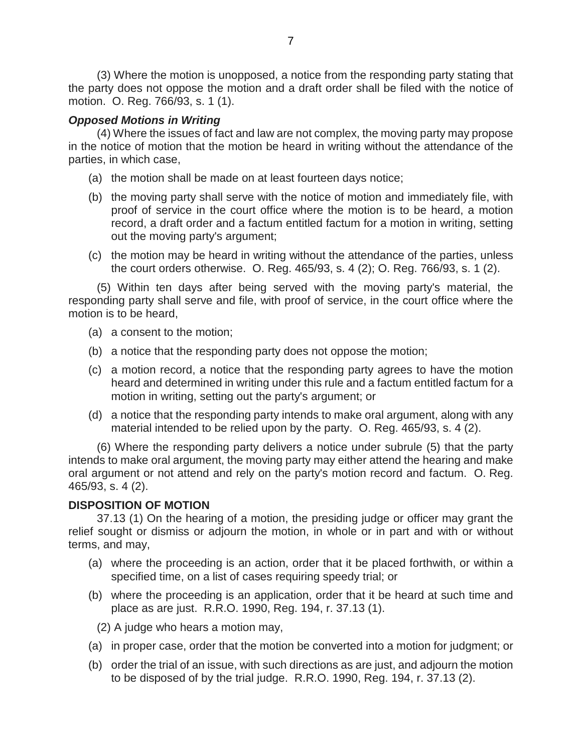(3) Where the motion is unopposed, a notice from the responding party stating that the party does not oppose the motion and a draft order shall be filed with the notice of motion. O. Reg. 766/93, s. 1 (1).

# *Opposed Motions in Writing*

(4) Where the issues of fact and law are not complex, the moving party may propose in the notice of motion that the motion be heard in writing without the attendance of the parties, in which case,

- (a) the motion shall be made on at least fourteen days notice;
- (b) the moving party shall serve with the notice of motion and immediately file, with proof of service in the court office where the motion is to be heard, a motion record, a draft order and a factum entitled factum for a motion in writing, setting out the moving party's argument;
- (c) the motion may be heard in writing without the attendance of the parties, unless the court orders otherwise. O. Reg. 465/93, s. 4 (2); O. Reg. 766/93, s. 1 (2).

(5) Within ten days after being served with the moving party's material, the responding party shall serve and file, with proof of service, in the court office where the motion is to be heard,

- (a) a consent to the motion;
- (b) a notice that the responding party does not oppose the motion;
- (c) a motion record, a notice that the responding party agrees to have the motion heard and determined in writing under this rule and a factum entitled factum for a motion in writing, setting out the party's argument; or
- (d) a notice that the responding party intends to make oral argument, along with any material intended to be relied upon by the party. O. Reg. 465/93, s. 4 (2).

(6) Where the responding party delivers a notice under subrule (5) that the party intends to make oral argument, the moving party may either attend the hearing and make oral argument or not attend and rely on the party's motion record and factum. O. Reg. 465/93, s. 4 (2).

# **DISPOSITION OF MOTION**

37.13 (1) On the hearing of a motion, the presiding judge or officer may grant the relief sought or dismiss or adjourn the motion, in whole or in part and with or without terms, and may,

- (a) where the proceeding is an action, order that it be placed forthwith, or within a specified time, on a list of cases requiring speedy trial; or
- (b) where the proceeding is an application, order that it be heard at such time and place as are just. R.R.O. 1990, Reg. 194, r. 37.13 (1).

(2) A judge who hears a motion may,

- (a) in proper case, order that the motion be converted into a motion for judgment; or
- (b) order the trial of an issue, with such directions as are just, and adjourn the motion to be disposed of by the trial judge. R.R.O. 1990, Reg. 194, r. 37.13 (2).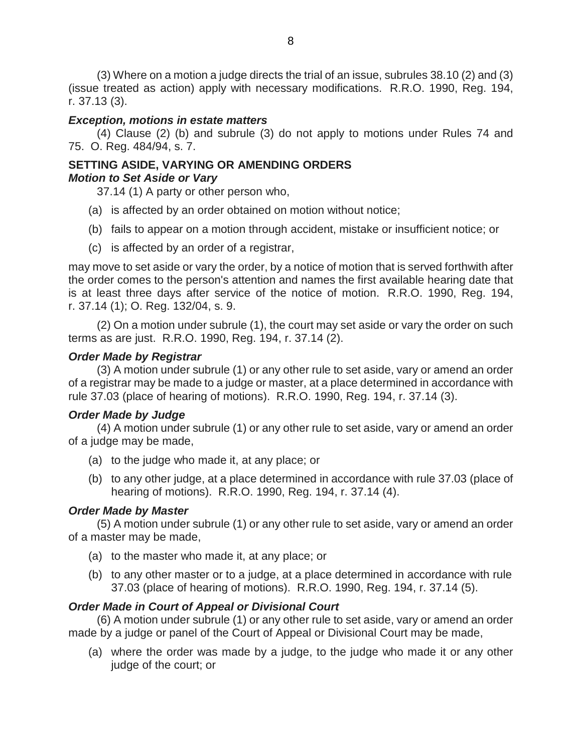(3) Where on a motion a judge directs the trial of an issue, subrules 38.10 (2) and (3) (issue treated as action) apply with necessary modifications. R.R.O. 1990, Reg. 194, r. 37.13 (3).

# *Exception, motions in estate matters*

(4) Clause (2) (b) and subrule (3) do not apply to motions under Rules 74 and 75. O. Reg. 484/94, s. 7.

#### **SETTING ASIDE, VARYING OR AMENDING ORDERS** *Motion to Set Aside or Vary*

37.14 (1) A party or other person who,

- (a) is affected by an order obtained on motion without notice;
- (b) fails to appear on a motion through accident, mistake or insufficient notice; or
- (c) is affected by an order of a registrar,

may move to set aside or vary the order, by a notice of motion that is served forthwith after the order comes to the person's attention and names the first available hearing date that is at least three days after service of the notice of motion. R.R.O. 1990, Reg. 194, r. 37.14 (1); O. Reg. 132/04, s. 9.

(2) On a motion under subrule (1), the court may set aside or vary the order on such terms as are just. R.R.O. 1990, Reg. 194, r. 37.14 (2).

# *Order Made by Registrar*

(3) A motion under subrule (1) or any other rule to set aside, vary or amend an order of a registrar may be made to a judge or master, at a place determined in accordance with rule 37.03 (place of hearing of motions). R.R.O. 1990, Reg. 194, r. 37.14 (3).

# *Order Made by Judge*

(4) A motion under subrule (1) or any other rule to set aside, vary or amend an order of a judge may be made,

- (a) to the judge who made it, at any place; or
- (b) to any other judge, at a place determined in accordance with rule 37.03 (place of hearing of motions). R.R.O. 1990, Reg. 194, r. 37.14 (4).

# *Order Made by Master*

(5) A motion under subrule (1) or any other rule to set aside, vary or amend an order of a master may be made,

- (a) to the master who made it, at any place; or
- (b) to any other master or to a judge, at a place determined in accordance with rule 37.03 (place of hearing of motions). R.R.O. 1990, Reg. 194, r. 37.14 (5).

# *Order Made in Court of Appeal or Divisional Court*

(6) A motion under subrule (1) or any other rule to set aside, vary or amend an order made by a judge or panel of the Court of Appeal or Divisional Court may be made,

(a) where the order was made by a judge, to the judge who made it or any other judge of the court; or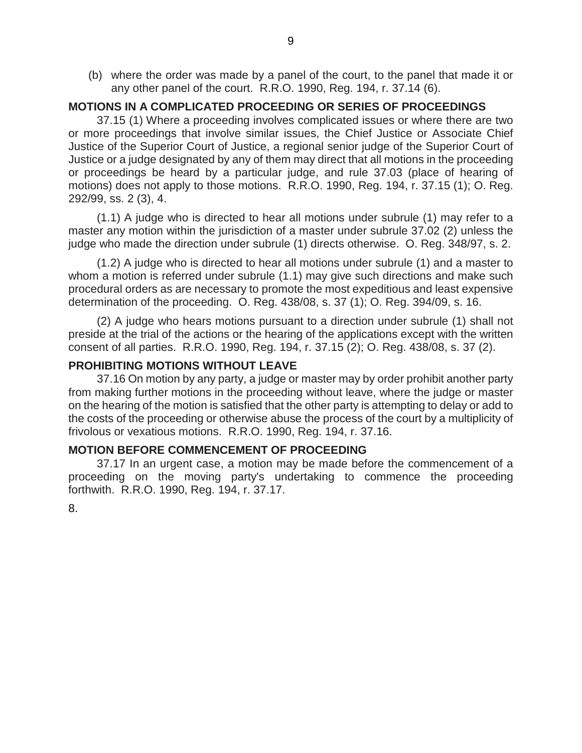(b) where the order was made by a panel of the court, to the panel that made it or any other panel of the court. R.R.O. 1990, Reg. 194, r. 37.14 (6).

#### **MOTIONS IN A COMPLICATED PROCEEDING OR SERIES OF PROCEEDINGS**

37.15 (1) Where a proceeding involves complicated issues or where there are two or more proceedings that involve similar issues, the Chief Justice or Associate Chief Justice of the Superior Court of Justice, a regional senior judge of the Superior Court of Justice or a judge designated by any of them may direct that all motions in the proceeding or proceedings be heard by a particular judge, and rule 37.03 (place of hearing of motions) does not apply to those motions. R.R.O. 1990, Reg. 194, r. 37.15 (1); O. Reg. 292/99, ss. 2 (3), 4.

(1.1) A judge who is directed to hear all motions under subrule (1) may refer to a master any motion within the jurisdiction of a master under subrule 37.02 (2) unless the judge who made the direction under subrule (1) directs otherwise. O. Reg. 348/97, s. 2.

(1.2) A judge who is directed to hear all motions under subrule (1) and a master to whom a motion is referred under subrule (1.1) may give such directions and make such procedural orders as are necessary to promote the most expeditious and least expensive determination of the proceeding. O. Reg. 438/08, s. 37 (1); O. Reg. 394/09, s. 16.

(2) A judge who hears motions pursuant to a direction under subrule (1) shall not preside at the trial of the actions or the hearing of the applications except with the written consent of all parties. R.R.O. 1990, Reg. 194, r. 37.15 (2); O. Reg. 438/08, s. 37 (2).

#### **PROHIBITING MOTIONS WITHOUT LEAVE**

37.16 On motion by any party, a judge or master may by order prohibit another party from making further motions in the proceeding without leave, where the judge or master on the hearing of the motion is satisfied that the other party is attempting to delay or add to the costs of the proceeding or otherwise abuse the process of the court by a multiplicity of frivolous or vexatious motions. R.R.O. 1990, Reg. 194, r. 37.16.

#### **MOTION BEFORE COMMENCEMENT OF PROCEEDING**

37.17 In an urgent case, a motion may be made before the commencement of a proceeding on the moving party's undertaking to commence the proceeding forthwith. R.R.O. 1990, Reg. 194, r. 37.17.

8.